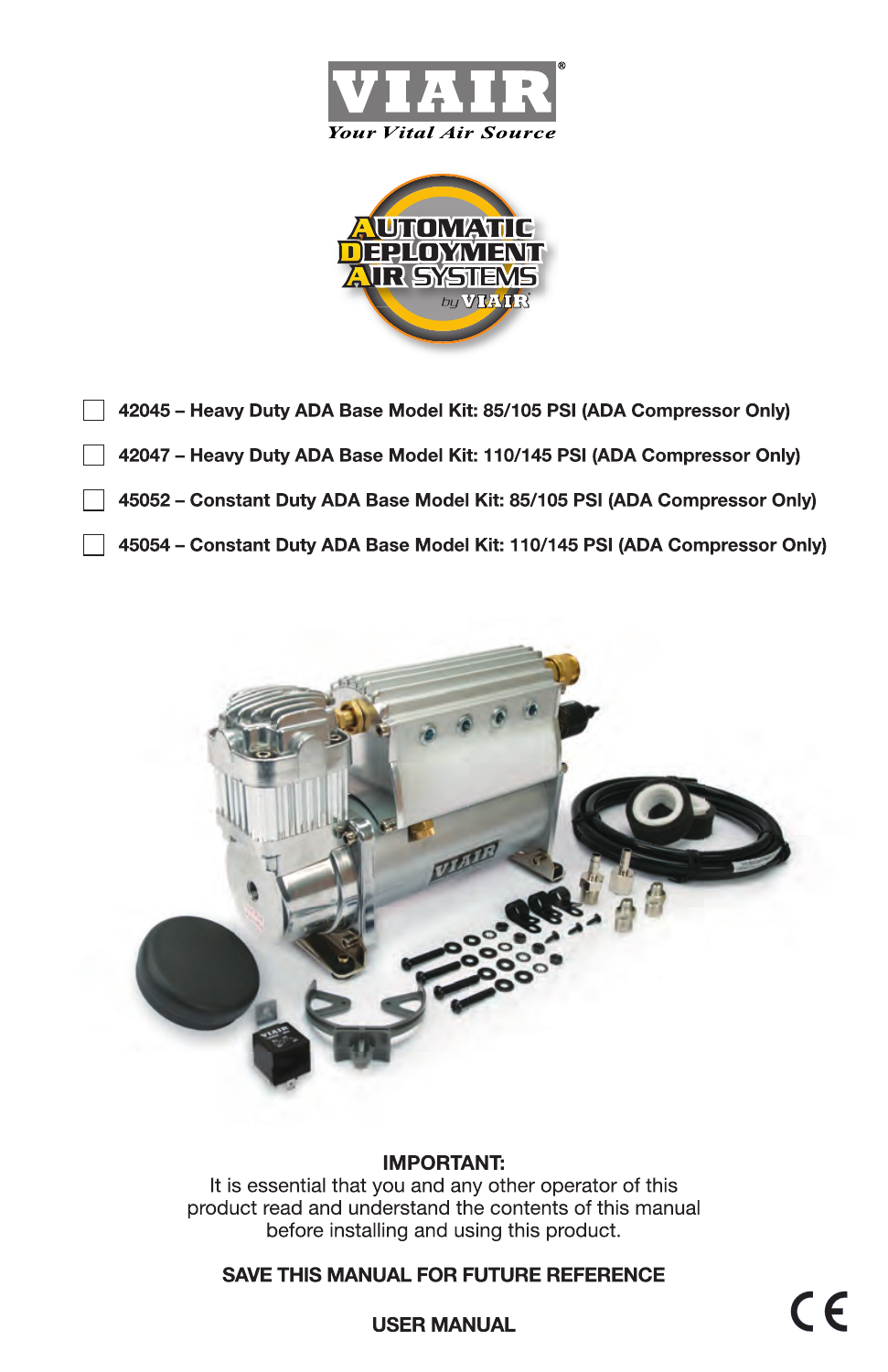



- 42045 Heavy Duty ADA Base Model Kit: 85/105 PSI (ADA Compressor Only)
	- 42047 Heavy Duty ADA Base Model Kit: 110/145 PSI (ADA Compressor Only)
	- 45052 Constant Duty ADA Base Model Kit: 85/105 PSI (ADA Compressor Only)
	- 45054 Constant Duty ADA Base Model Kit: 110/145 PSI (ADA Compressor Only)



#### **IMPORTANT:**

It is essential that you and any other operator of this product read and understand the contents of this manual before installing and using this product.

## **SAVE THIS MANUAL FOR FUTURE REFERENCE**

CE

**USER MANUAL**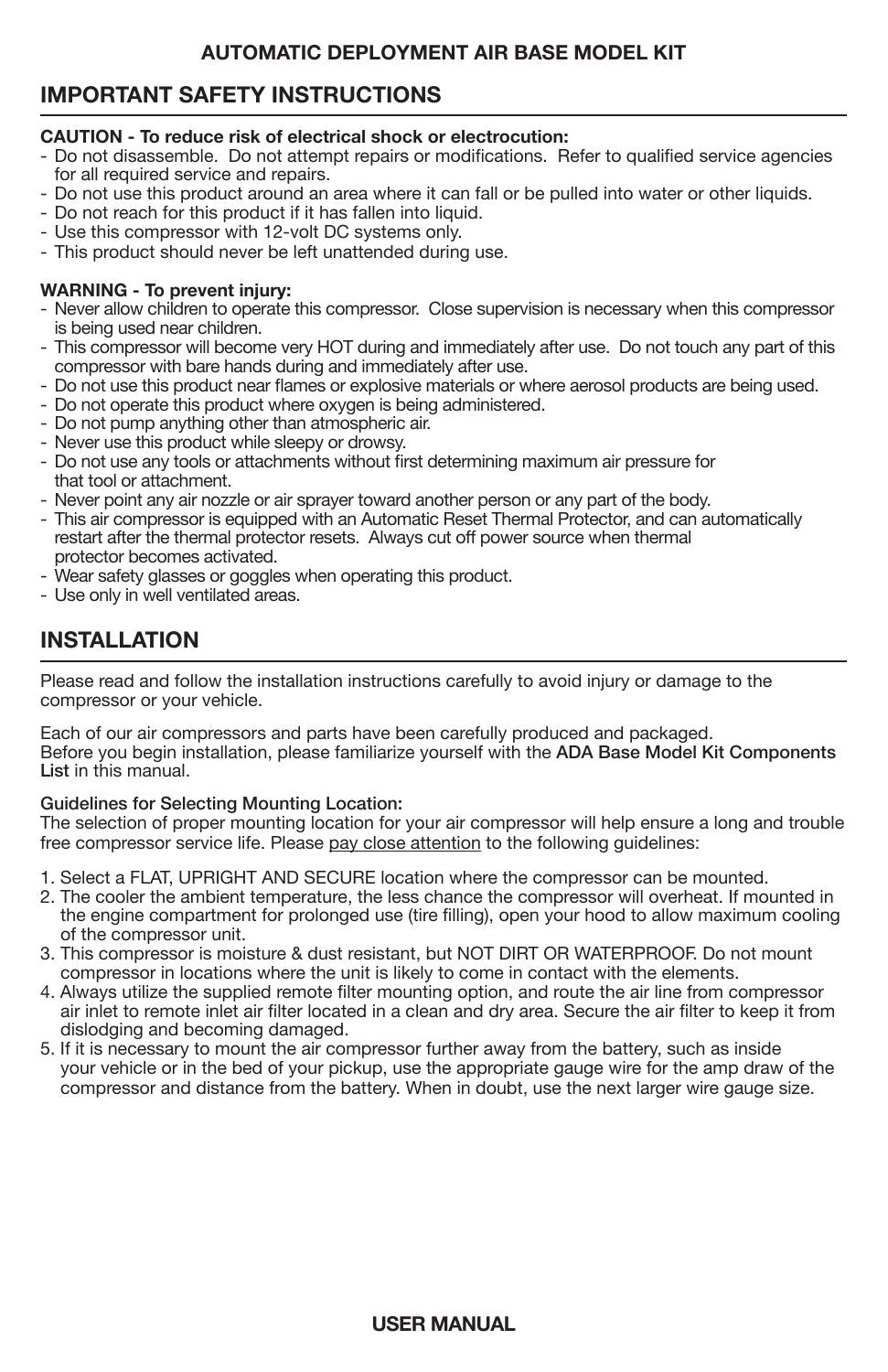# **IMPORTANT SAFETY INSTRUCTIONS**

## **CAUTION - To reduce risk of electrical shock or electrocution:**

- Do not disassemble. Do not attempt repairs or modifications. Refer to qualified service agencies for all required service and repairs.
- Do not use this product around an area where it can fall or be pulled into water or other liquids.
- Do not reach for this product if it has fallen into liquid.
- Use this compressor with 12-volt DC systems only.
- This product should never be left unattended during use.

#### **WARNING - To prevent injury:**

- Never allow children to operate this compressor. Close supervision is necessary when this compressor is being used near children.
- This compressor will become very HOT during and immediately after use. Do not touch any part of this compressor with bare hands during and immediately after use.
- Do not use this product near flames or explosive materials or where aerosol products are being used.
- Do not operate this product where oxygen is being administered.
- Do not pump anything other than atmospheric air.
- Never use this product while sleepy or drowsy.
- Do not use any tools or attachments without first determining maximum air pressure for that tool or attachment.
- Never point any air nozzle or air sprayer toward another person or any part of the body.
- This air compressor is equipped with an Automatic Reset Thermal Protector, and can automatically restart after the thermal protector resets. Always cut off power source when thermal protector becomes activated.
- Wear safety glasses or goggles when operating this product.
- Use only in well ventilated areas.

# **INSTALLATION**

Please read and follow the installation instructions carefully to avoid injury or damage to the compressor or your vehicle.

Each of our air compressors and parts have been carefully produced and packaged. Before you begin installation, please familiarize yourself with the ADA Base Model Kit Components List in this manual.

#### Guidelines for Selecting Mounting Location:

The selection of proper mounting location for your air compressor will help ensure a long and trouble free compressor service life. Please pay close attention to the following guidelines:

- 1. Select a FLAT, UPRIGHT AND SECURE location where the compressor can be mounted.
- 2. The cooler the ambient temperature, the less chance the compressor will overheat. If mounted in the engine compartment for prolonged use (tire filling), open your hood to allow maximum cooling of the compressor unit.
- 3. This compressor is moisture & dust resistant, but NOT DIRT OR WATERPROOF. Do not mount compressor in locations where the unit is likely to come in contact with the elements.
- 4. Always utilize the supplied remote filter mounting option, and route the air line from compressor air inlet to remote inlet air filter located in a clean and dry area. Secure the air filter to keep it from dislodging and becoming damaged.
- 5. If it is necessary to mount the air compressor further away from the battery, such as inside your vehicle or in the bed of your pickup, use the appropriate gauge wire for the amp draw of the compressor and distance from the battery. When in doubt, use the next larger wire gauge size.

## **USER MANUAL**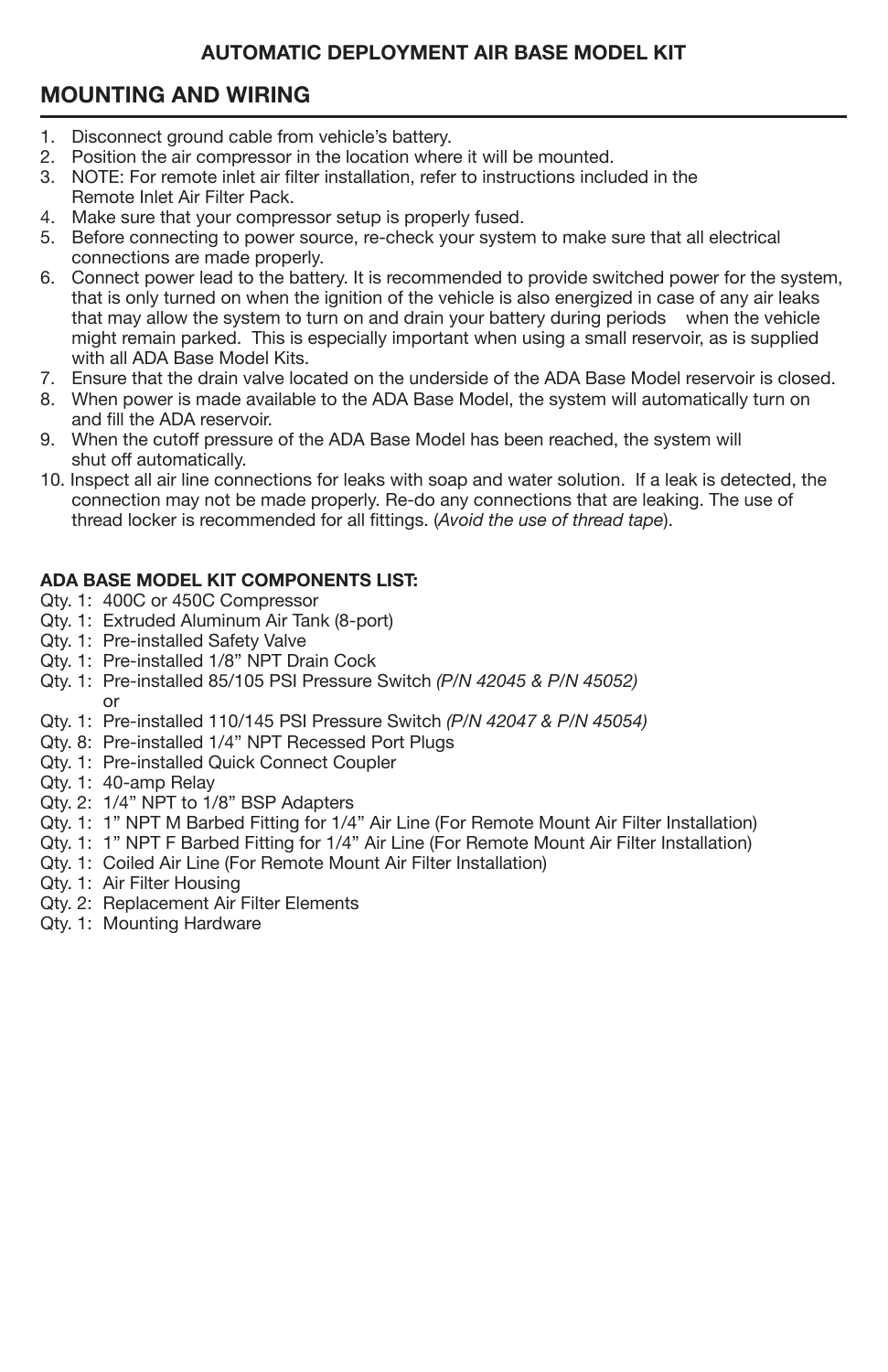# **MOUNTING AND WIRING**

- 1. Disconnect ground cable from vehicle's battery.<br>2. Position the air compressor in the location when
- 2. Position the air compressor in the location where it will be mounted.
- 3. NOTE: For remote inlet air filter installation, refer to instructions included in the Remote Inlet Air Filter Pack.
- 4. Make sure that your compressor setup is properly fused.
- 5. Before connecting to power source, re-check your system to make sure that all electrical connections are made properly.
- 6. Connect power lead to the battery. It is recommended to provide switched power for the system, that is only turned on when the ignition of the vehicle is also energized in case of any air leaks that may allow the system to turn on and drain your battery during periods when the vehicle might remain parked. This is especially important when using a small reservoir, as is supplied with all ADA Base Model Kits.
- 7. Ensure that the drain valve located on the underside of the ADA Base Model reservoir is closed.
- 8. When power is made available to the ADA Base Model, the system will automatically turn on and fill the ADA reservoir.
- 9. When the cutoff pressure of the ADA Base Model has been reached, the system will shut off automatically.
- 10. Inspect all air line connections for leaks with soap and water solution. If a leak is detected, the connection may not be made properly. Re-do any connections that are leaking. The use of thread locker is recommended for all fittings. (*Avoid the use of thread tape*).

#### **ADA BASE MODEL KIT COMPONENTS LIST:**

- Qty. 1: 400C or 450C Compressor
- Qty. 1: Extruded Aluminum Air Tank (8-port)
- Qty. 1: Pre-installed Safety Valve
- Qty. 1: Pre-installed 1/8" NPT Drain Cock
- Qty. 1: Pre-installed 85/105 PSI Pressure Switch *(P/N 42045 & P/N 45052)* or
- Qty. 1: Pre-installed 110/145 PSI Pressure Switch *(P/N 42047 & P/N 45054)*
- Qty. 8: Pre-installed 1/4" NPT Recessed Port Plugs
- Qty. 1: Pre-installed Quick Connect Coupler
- Qty. 1: 40-amp Relay
- Qty. 2: 1/4" NPT to 1/8" BSP Adapters
- Qty. 1: 1" NPT M Barbed Fitting for 1/4" Air Line (For Remote Mount Air Filter Installation)
- Qty. 1: 1" NPT F Barbed Fitting for 1/4" Air Line (For Remote Mount Air Filter Installation)
- Qty. 1: Coiled Air Line (For Remote Mount Air Filter Installation)
- Qty. 1: Air Filter Housing
- Qty. 2: Replacement Air Filter Elements
- Qty. 1: Mounting Hardware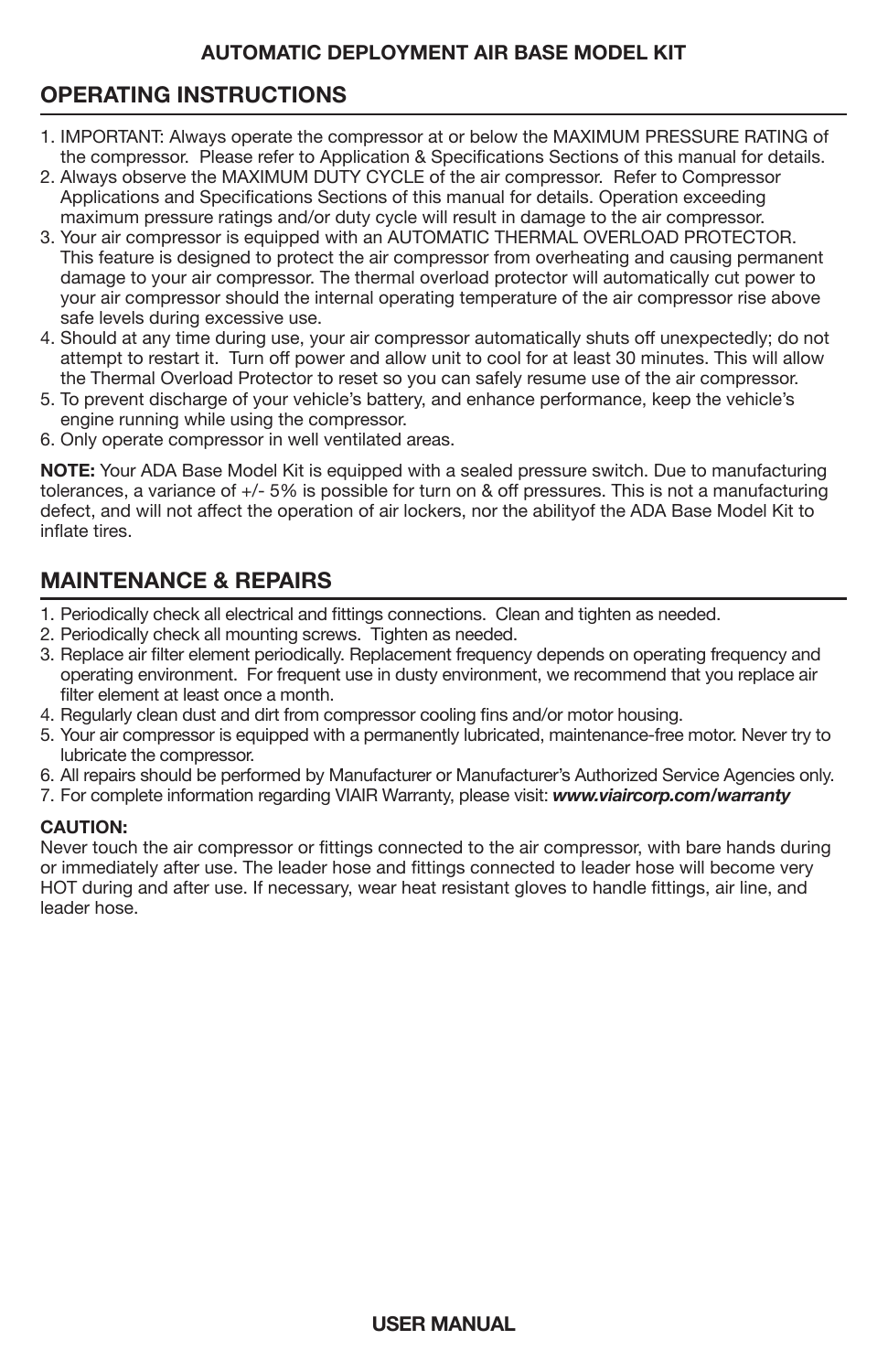# **OPERATING INSTRUCTIONS**

- j 1. IMPORTANT: Always operate the compressor at or below the MAXIMUM PRESSURE RATING of the compressor. Please refer to Application & Specifications Sections of this manual for details.
- 2. Always observe the MAXIMUM DUTY CYCLE of the air compressor. Refer to Compressor Applications and Specifications Sections of this manual for details. Operation exceeding maximum pressure ratings and/or duty cycle will result in damage to the air compressor.
- 3. Your air compressor is equipped with an AUTOMATIC THERMAL OVERLOAD PROTECTOR. This feature is designed to protect the air compressor from overheating and causing permanent damage to your air compressor. The thermal overload protector will automatically cut power to your air compressor should the internal operating temperature of the air compressor rise above safe levels during excessive use.
- 4. Should at any time during use, your air compressor automatically shuts off unexpectedly; do not attempt to restart it. Turn off power and allow unit to cool for at least 30 minutes. This will allow the Thermal Overload Protector to reset so you can safely resume use of the air compressor.
- 5. To prevent discharge of your vehicle's battery, and enhance performance, keep the vehicle's engine running while using the compressor.
- 6. Only operate compressor in well ventilated areas.

**NOTE:** Your ADA Base Model Kit is equipped with a sealed pressure switch. Due to manufacturing tolerances, a variance of +/- 5% is possible for turn on & off pressures. This is not a manufacturing defect, and will not affect the operation of air lockers, nor the abilityof the ADA Base Model Kit to inflate tires.

# **MAINTENANCE & REPAIRS**

- 1. Periodically check all electrical and fittings connections. Clean and tighten as needed.
- 2. Periodically check all mounting screws. Tighten as needed.
- 3. Replace air filter element periodically. Replacement frequency depends on operating frequency and operating environment. For frequent use in dusty environment, we recommend that you replace air filter element at least once a month.
- 4. Regularly clean dust and dirt from compressor cooling fins and/or motor housing.
- 5. Your air compressor is equipped with a permanently lubricated, maintenance-free motor. Never try to lubricate the compressor.
- 6. All repairs should be performed by Manufacturer or Manufacturer's Authorized Service Agencies only.
- 7. For complete information regarding VIAIR Warranty, please visit: *www.viaircorp.com/warranty*

#### **CAUTION:**

Never touch the air compressor or fittings connected to the air compressor, with bare hands during or immediately after use. The leader hose and fittings connected to leader hose will become very HOT during and after use. If necessary, wear heat resistant gloves to handle fittings, air line, and leader hose.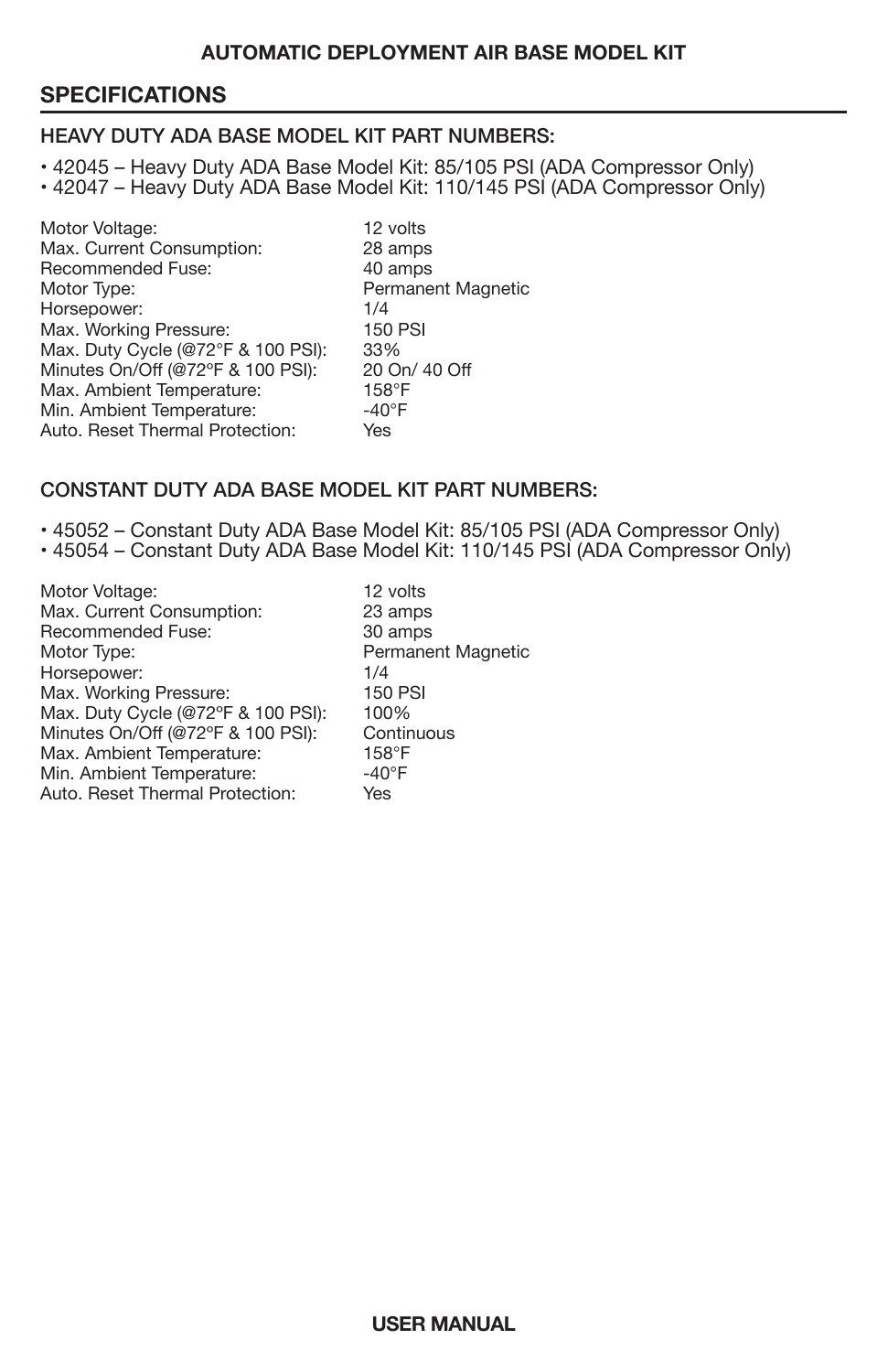## **SPECIFICATIONS**

#### HEAVY DUTY ADA BASE MODEL KIT PART NUMBERS:

• 42045 – Heavy Duty ADA Base Model Kit: 85/105 PSI (ADA Compressor Only) • 42047 – Heavy Duty ADA Base Model Kit: 110/145 PSI (ADA Compressor Only)

Motor Voltage: 12 volts<br>
Max. Current Consumption: 28 amps Max. Current Consumption: 28 amps<br>Recommended Fuse: 40 amps Recommended Fuse:<br>Motor Type: Permanent Magnetic Horsepower: 1/4<br>
Max. Working Pressure: 150 PSI Max. Working Pressure: 150 F<br>Max. Duty Cycle (@72°F & 100 PSI): 33% Max. Duty Cycle (@72°F & 100 PSI): Minutes On/Off (@72°F & 100 PSI): 20 On/ 40 Off<br>Max. Ambient Temperature: 158°F Max. Ambient Temperature: 158°F<br>Min. Ambient Temperature: 40°F Min. Ambient Temperature:  $-40^{\circ}$ <br>Auto. Reset Thermal Protection: Yes Auto. Reset Thermal Protection:

#### CONSTANT DUTY ADA BASE MODEL KIT PART NUMBERS:

• 45052 – Constant Duty ADA Base Model Kit: 85/105 PSI (ADA Compressor Only) • 45054 – Constant Duty ADA Base Model Kit: 110/145 PSI (ADA Compressor Only)

| Motor Voltage:                     | 12 volts                  |
|------------------------------------|---------------------------|
| Max. Current Consumption:          | 23 amps                   |
| Recommended Fuse:                  | 30 amps                   |
| Motor Type:                        | <b>Permanent Magnetic</b> |
| Horsepower:                        | 1/4                       |
| Max. Working Pressure:             | <b>150 PSI</b>            |
| Max. Duty Cycle (@72°F & 100 PSI): | 100%                      |
| Minutes On/Off (@72°F & 100 PSI):  | Continuous                |
| Max. Ambient Temperature:          | $158^\circ F$             |
| Min. Ambient Temperature:          | $-40^{\circ}$ F           |
| Auto, Reset Thermal Protection:    | Yes                       |
|                                    |                           |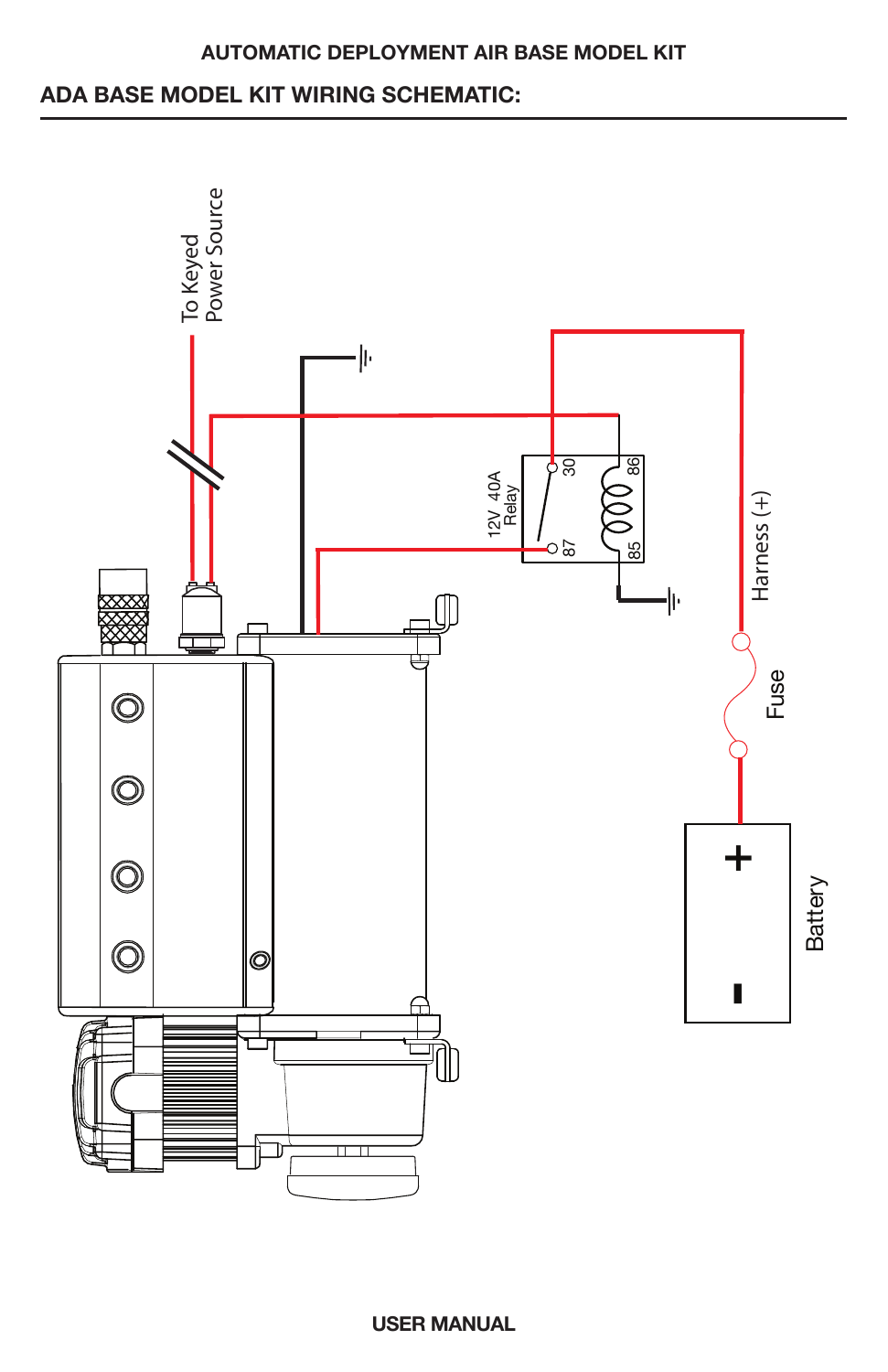# **ADA BASE MODEL KIT WIRING SCHEMATIC:**

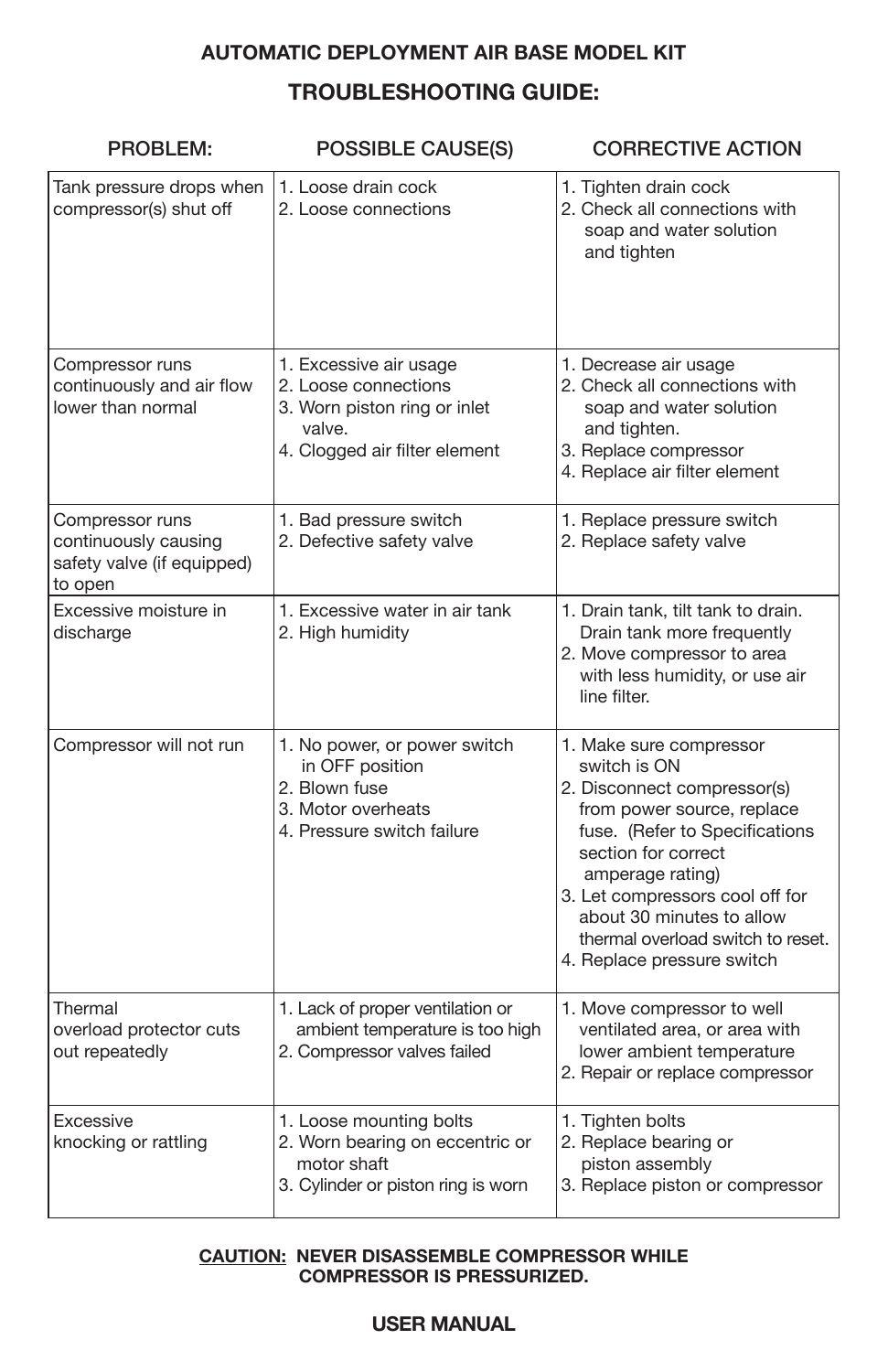# **TROUBLESHOOTING GUIDE: AUTOMATIC DEPLOYMENT AIR BASE MODEL KIT**

| <b>PROBLEM:</b>                                                                  | <b>POSSIBLE CAUSE(S)</b>                                                                                                  | <b>CORRECTIVE ACTION</b>                                                                                                                                                                                                                                                                                             |  |
|----------------------------------------------------------------------------------|---------------------------------------------------------------------------------------------------------------------------|----------------------------------------------------------------------------------------------------------------------------------------------------------------------------------------------------------------------------------------------------------------------------------------------------------------------|--|
| Tank pressure drops when<br>compressor(s) shut off                               | 1. Loose drain cock<br>2. Loose connections                                                                               | 1. Tighten drain cock<br>2. Check all connections with<br>soap and water solution<br>and tighten                                                                                                                                                                                                                     |  |
| Compressor runs<br>continuously and air flow<br>lower than normal                | 1. Excessive air usage<br>2. Loose connections<br>3. Worn piston ring or inlet<br>valve.<br>4. Clogged air filter element | 1. Decrease air usage<br>2. Check all connections with<br>soap and water solution<br>and tighten.<br>3. Replace compressor<br>4. Replace air filter element                                                                                                                                                          |  |
| Compressor runs<br>continuously causing<br>safety valve (if equipped)<br>to open | 1. Bad pressure switch<br>2. Defective safety valve                                                                       | 1. Replace pressure switch<br>2. Replace safety valve                                                                                                                                                                                                                                                                |  |
| Excessive moisture in<br>discharge                                               | 1. Excessive water in air tank<br>2. High humidity                                                                        | 1. Drain tank, tilt tank to drain.<br>Drain tank more frequently<br>2. Move compressor to area<br>with less humidity, or use air<br>line filter.                                                                                                                                                                     |  |
| Compressor will not run                                                          | 1. No power, or power switch<br>in OFF position<br>2. Blown fuse<br>3. Motor overheats<br>4. Pressure switch failure      | 1. Make sure compressor<br>switch is ON<br>2. Disconnect compressor(s)<br>from power source, replace<br>fuse. (Refer to Specifications<br>section for correct<br>amperage rating)<br>3. Let compressors cool off for<br>about 30 minutes to allow<br>thermal overload switch to reset.<br>4. Replace pressure switch |  |
| Thermal<br>overload protector cuts<br>out repeatedly                             | 1. Lack of proper ventilation or<br>ambient temperature is too high<br>2. Compressor valves failed                        | 1. Move compressor to well<br>ventilated area, or area with<br>lower ambient temperature<br>2. Repair or replace compressor                                                                                                                                                                                          |  |
| Excessive<br>knocking or rattling                                                | 1. Loose mounting bolts<br>2. Worn bearing on eccentric or<br>motor shaft<br>3. Cylinder or piston ring is worn           | 1. Tighten bolts<br>2. Replace bearing or<br>piston assembly<br>3. Replace piston or compressor                                                                                                                                                                                                                      |  |

#### **CAUTION: NEVER DISASSEMBLE COMPRESSOR WHILE COMPRESSOR IS PRESSURIZED.**

## **USER MANUAL**